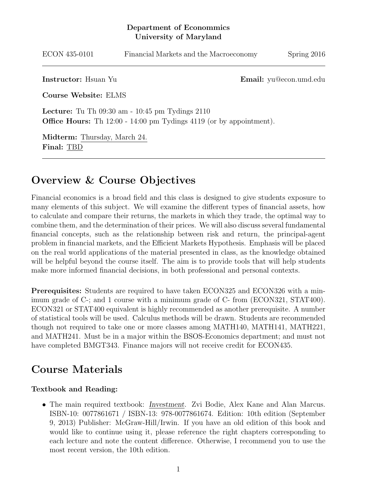#### Department of Econommics University of Maryland

| ECON 435-0101 | Financial Markets and the Macroeconomy | Spring 2016 |
|---------------|----------------------------------------|-------------|
|               |                                        |             |

Instructor: Hsuan Yu **Email:** yu@econ.umd.edu

Course Website: ELMS

Lecture: Tu Th 09:30 am - 10:45 pm Tydings 2110 **Office Hours:** Th 12:00 - 14:00 pm Tydings 4119 (or by appointment).

Midterm: Thursday, March 24. Final: TBD

### Overview & Course Objectives

Financial economics is a broad field and this class is designed to give students exposure to many elements of this subject. We will examine the different types of financial assets, how to calculate and compare their returns, the markets in which they trade, the optimal way to combine them, and the determination of their prices. We will also discuss several fundamental financial concepts, such as the relationship between risk and return, the principal-agent problem in financial markets, and the Efficient Markets Hypothesis. Emphasis will be placed on the real world applications of the material presented in class, as the knowledge obtained will be helpful beyond the course itself. The aim is to provide tools that will help students make more informed financial decisions, in both professional and personal contexts.

Prerequisites: Students are required to have taken ECON325 and ECON326 with a minimum grade of C-; and 1 course with a minimum grade of C- from (ECON321, STAT400). ECON321 or STAT400 equivalent is highly recommended as another prerequisite. A number of statistical tools will be used. Calculus methods will be drawn. Students are recommended though not required to take one or more classes among MATH140, MATH141, MATH221, and MATH241. Must be in a major within the BSOS-Economics department; and must not have completed BMGT343. Finance majors will not receive credit for ECON435.

#### Course Materials

#### Textbook and Reading:

• The main required textbook: Investment. Zvi Bodie, Alex Kane and Alan Marcus. ISBN-10: 0077861671 / ISBN-13: 978-0077861674. Edition: 10th edition (September 9, 2013) Publisher: McGraw-Hill/Irwin. If you have an old edition of this book and would like to continue using it, please reference the right chapters corresponding to each lecture and note the content difference. Otherwise, I recommend you to use the most recent version, the 10th edition.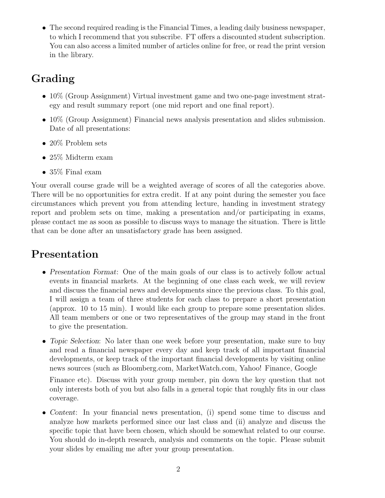• The second required reading is the Financial Times, a leading daily business newspaper, to which I recommend that you subscribe. FT offers a discounted student subscription. You can also access a limited number of articles online for free, or read the print version in the library.

# Grading

- 10% (Group Assignment) Virtual investment game and two one-page investment strategy and result summary report (one mid report and one final report).
- 10% (Group Assignment) Financial news analysis presentation and slides submission. Date of all presentations:
- 20% Problem sets
- 25\% Midterm exam
- 35\% Final exam

Your overall course grade will be a weighted average of scores of all the categories above. There will be no opportunities for extra credit. If at any point during the semester you face circumstances which prevent you from attending lecture, handing in investment strategy report and problem sets on time, making a presentation and/or participating in exams, please contact me as soon as possible to discuss ways to manage the situation. There is little that can be done after an unsatisfactory grade has been assigned.

# Presentation

- Presentation Format: One of the main goals of our class is to actively follow actual events in financial markets. At the beginning of one class each week, we will review and discuss the financial news and developments since the previous class. To this goal, I will assign a team of three students for each class to prepare a short presentation (approx. 10 to 15 min). I would like each group to prepare some presentation slides. All team members or one or two representatives of the group may stand in the front to give the presentation.
- Topic Selection: No later than one week before your presentation, make sure to buy and read a financial newspaper every day and keep track of all important financial developments, or keep track of the important financial developments by visiting online news sources (such as Bloomberg.com, MarketWatch.com, Yahoo! Finance, Google

Finance etc). Discuss with your group member, pin down the key question that not only interests both of you but also falls in a general topic that roughly fits in our class coverage.

• Content: In your financial news presentation, (i) spend some time to discuss and analyze how markets performed since our last class and (ii) analyze and discuss the specific topic that have been chosen, which should be somewhat related to our course. You should do in-depth research, analysis and comments on the topic. Please submit your slides by emailing me after your group presentation.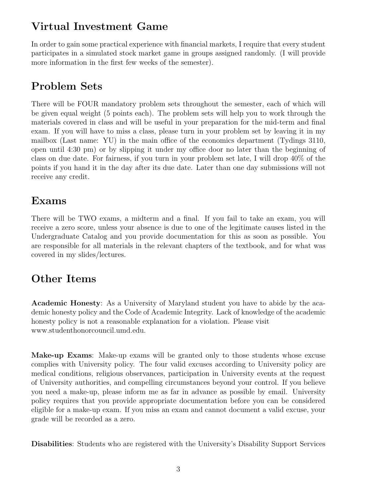### Virtual Investment Game

In order to gain some practical experience with financial markets, I require that every student participates in a simulated stock market game in groups assigned randomly. (I will provide more information in the first few weeks of the semester).

# Problem Sets

There will be FOUR mandatory problem sets throughout the semester, each of which will be given equal weight (5 points each). The problem sets will help you to work through the materials covered in class and will be useful in your preparation for the mid-term and final exam. If you will have to miss a class, please turn in your problem set by leaving it in my mailbox (Last name: YU) in the main office of the economics department (Tydings 3110, open until 4:30 pm) or by slipping it under my office door no later than the beginning of class on due date. For fairness, if you turn in your problem set late, I will drop 40% of the points if you hand it in the day after its due date. Later than one day submissions will not receive any credit.

# Exams

There will be TWO exams, a midterm and a final. If you fail to take an exam, you will receive a zero score, unless your absence is due to one of the legitimate causes listed in the Undergraduate Catalog and you provide documentation for this as soon as possible. You are responsible for all materials in the relevant chapters of the textbook, and for what was covered in my slides/lectures.

# Other Items

Academic Honesty: As a University of Maryland student you have to abide by the academic honesty policy and the Code of Academic Integrity. Lack of knowledge of the academic honesty policy is not a reasonable explanation for a violation. Please visit www.studenthonorcouncil.umd.edu.

Make-up Exams: Make-up exams will be granted only to those students whose excuse complies with University policy. The four valid excuses according to University policy are medical conditions, religious observances, participation in University events at the request of University authorities, and compelling circumstances beyond your control. If you believe you need a make-up, please inform me as far in advance as possible by email. University policy requires that you provide appropriate documentation before you can be considered eligible for a make-up exam. If you miss an exam and cannot document a valid excuse, your grade will be recorded as a zero.

Disabilities: Students who are registered with the University's Disability Support Services